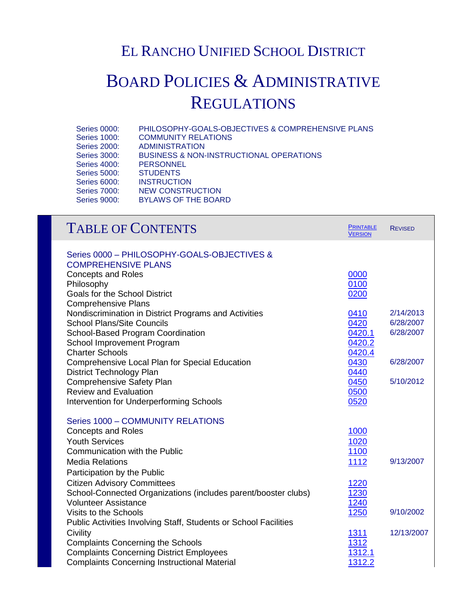## EL RANCHO UNIFIED SCHOOL DISTRICT

## BOARD POLICIES & ADMINISTRATIVE **REGULATIONS**

| <b>Series 0000:</b> | PHILOSOPHY-GOALS-OBJECTIVES & COMPREHENSIVE PLANS  |
|---------------------|----------------------------------------------------|
| <b>Series 1000:</b> | <b>COMMUNITY RELATIONS</b>                         |
| <b>Series 2000:</b> | <b>ADMINISTRATION</b>                              |
| <b>Series 3000:</b> | <b>BUSINESS &amp; NON-INSTRUCTIONAL OPERATIONS</b> |
| <b>Series 4000:</b> | <b>PERSONNEL</b>                                   |
| <b>Series 5000:</b> | <b>STUDENTS</b>                                    |
| <b>Series 6000:</b> | <b>INSTRUCTION</b>                                 |
| <b>Series 7000:</b> | NEW CONSTRUCTION                                   |
| <b>Series 9000:</b> | <b>BYLAWS OF THE BOARD</b>                         |
|                     |                                                    |

| <b>TABLE OF CONTENTS</b>                                         | <b>PRINTABLE</b><br><b>VERSION</b> | <b>REVISED</b> |
|------------------------------------------------------------------|------------------------------------|----------------|
| Series 0000 - PHILOSOPHY-GOALS-OBJECTIVES &                      |                                    |                |
| <b>COMPREHENSIVE PLANS</b>                                       |                                    |                |
| <b>Concepts and Roles</b>                                        | 0000                               |                |
| Philosophy                                                       | 0100                               |                |
| Goals for the School District                                    | 0200                               |                |
| <b>Comprehensive Plans</b>                                       |                                    |                |
| Nondiscrimination in District Programs and Activities            | 0410                               | 2/14/2013      |
| <b>School Plans/Site Councils</b>                                | 0420                               | 6/28/2007      |
| School-Based Program Coordination                                | 0420.1                             | 6/28/2007      |
| School Improvement Program                                       | 0420.2                             |                |
| <b>Charter Schools</b>                                           | 0420.4                             |                |
| <b>Comprehensive Local Plan for Special Education</b>            | 0430                               | 6/28/2007      |
| District Technology Plan                                         | 0440                               |                |
| <b>Comprehensive Safety Plan</b>                                 | 0450                               | 5/10/2012      |
| <b>Review and Evaluation</b>                                     | 0500                               |                |
| Intervention for Underperforming Schools                         | 0520                               |                |
| Series 1000 - COMMUNITY RELATIONS                                |                                    |                |
| <b>Concepts and Roles</b>                                        | 1000                               |                |
| <b>Youth Services</b>                                            | 1020                               |                |
| Communication with the Public                                    | 1100                               |                |
| <b>Media Relations</b>                                           | 1112                               | 9/13/2007      |
| Participation by the Public                                      |                                    |                |
| <b>Citizen Advisory Committees</b>                               | <u>1220</u>                        |                |
| School-Connected Organizations (includes parent/booster clubs)   | 1230                               |                |
| <b>Volunteer Assistance</b>                                      | <u>1240</u>                        |                |
| Visits to the Schools                                            | 1250                               | 9/10/2002      |
| Public Activities Involving Staff, Students or School Facilities |                                    |                |
| Civility                                                         | 1311                               | 12/13/2007     |
| <b>Complaints Concerning the Schools</b>                         | 1312                               |                |
| <b>Complaints Concerning District Employees</b>                  | 1312.1                             |                |
| <b>Complaints Concerning Instructional Material</b>              | 1312.2                             |                |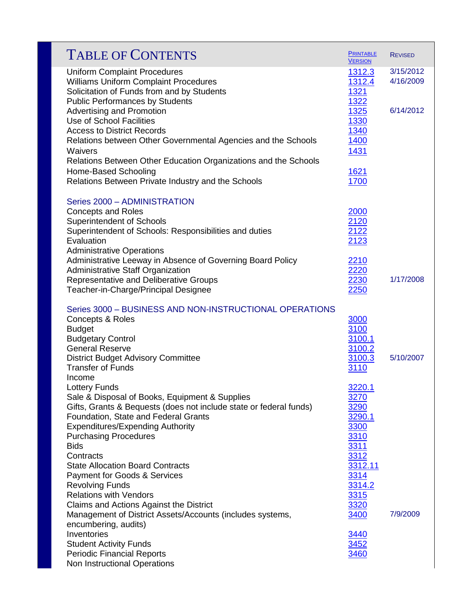| <b>TABLE OF CONTENTS</b>                                                                                                                                                                                                                                           | <b>PRINTABLE</b><br><b>VERSION</b>                | <b>REVISED</b>         |
|--------------------------------------------------------------------------------------------------------------------------------------------------------------------------------------------------------------------------------------------------------------------|---------------------------------------------------|------------------------|
| <b>Uniform Complaint Procedures</b><br><b>Williams Uniform Complaint Procedures</b><br>Solicitation of Funds from and by Students                                                                                                                                  | 1312.3<br>1312.4<br>1321                          | 3/15/2012<br>4/16/2009 |
| <b>Public Performances by Students</b><br><b>Advertising and Promotion</b><br>Use of School Facilities<br><b>Access to District Records</b>                                                                                                                        | 1322<br>1325<br>1330<br>1340                      | 6/14/2012              |
| Relations between Other Governmental Agencies and the Schools<br>Waivers<br>Relations Between Other Education Organizations and the Schools                                                                                                                        | <u>1400</u><br>1431                               |                        |
| Home-Based Schooling<br>Relations Between Private Industry and the Schools                                                                                                                                                                                         | 1621<br>1700                                      |                        |
| Series 2000 - ADMINISTRATION<br><b>Concepts and Roles</b><br><b>Superintendent of Schools</b><br>Superintendent of Schools: Responsibilities and duties<br>Evaluation                                                                                              | 2000<br>2120<br>2122<br>2123                      |                        |
| <b>Administrative Operations</b><br>Administrative Leeway in Absence of Governing Board Policy<br>Administrative Staff Organization<br>Representative and Deliberative Groups<br>Teacher-in-Charge/Principal Designee                                              | 2210<br>2220<br>2230<br>2250                      | 1/17/2008              |
| Series 3000 - BUSINESS AND NON-INSTRUCTIONAL OPERATIONS<br>Concepts & Roles<br><b>Budget</b>                                                                                                                                                                       | 3000<br>3100                                      |                        |
| <b>Budgetary Control</b><br><b>General Reserve</b><br><b>District Budget Advisory Committee</b><br><b>Transfer of Funds</b>                                                                                                                                        | 3100.1<br>3100.2<br>3100.3<br>3110                | 5/10/2007              |
| Income<br>Lottery Funds<br>Sale & Disposal of Books, Equipment & Supplies<br>Gifts, Grants & Bequests (does not include state or federal funds)<br>Foundation, State and Federal Grants<br><b>Expenditures/Expending Authority</b><br><b>Purchasing Procedures</b> | 3220.1<br>3270<br>3290<br>3290.1<br>3300<br>3310  |                        |
| <b>Bids</b><br>Contracts<br><b>State Allocation Board Contracts</b><br>Payment for Goods & Services<br><b>Revolving Funds</b><br><b>Relations with Vendors</b>                                                                                                     | 3311<br>3312<br>3312.11<br>3314<br>3314.2<br>3315 |                        |
| Claims and Actions Against the District<br>Management of District Assets/Accounts (includes systems,<br>encumbering, audits)                                                                                                                                       | 3320<br>3400                                      | 7/9/2009               |
| Inventories<br><b>Student Activity Funds</b><br><b>Periodic Financial Reports</b><br>Non Instructional Operations                                                                                                                                                  | 3440<br>3452<br>3460                              |                        |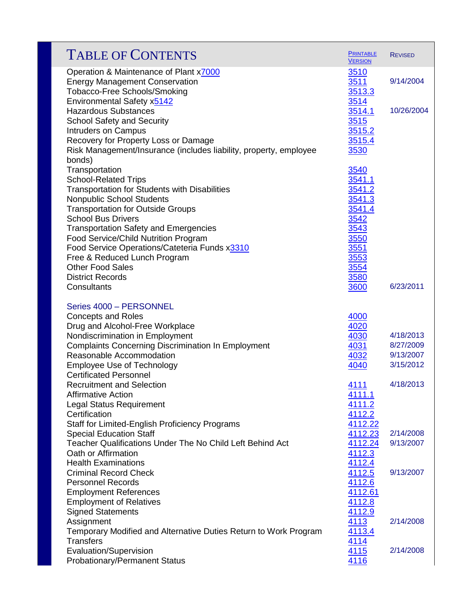| <b>TABLE OF CONTENTS</b>                                                                                        | <b>PRINTABLE</b><br><b>VERSION</b> | <b>REVISED</b>         |
|-----------------------------------------------------------------------------------------------------------------|------------------------------------|------------------------|
| Operation & Maintenance of Plant x7000<br><b>Energy Management Conservation</b><br>Tobacco-Free Schools/Smoking | <u>3510</u><br>3511<br>3513.3      | 9/14/2004              |
| Environmental Safety x5142                                                                                      | 3514                               |                        |
| <b>Hazardous Substances</b><br><b>School Safety and Security</b>                                                | 3514.1<br>3515                     | 10/26/2004             |
| <b>Intruders on Campus</b>                                                                                      | 3515.2                             |                        |
| Recovery for Property Loss or Damage                                                                            | 3515.4                             |                        |
| Risk Management/Insurance (includes liability, property, employee                                               | 3530                               |                        |
| bonds)<br>Transportation                                                                                        | 3540                               |                        |
| <b>School-Related Trips</b>                                                                                     | 3541.1                             |                        |
| Transportation for Students with Disabilities                                                                   | 3541.2                             |                        |
| <b>Nonpublic School Students</b>                                                                                | 3541.3                             |                        |
| <b>Transportation for Outside Groups</b>                                                                        | 3541.4                             |                        |
| <b>School Bus Drivers</b>                                                                                       | 3542                               |                        |
| <b>Transportation Safety and Emergencies</b><br>Food Service/Child Nutrition Program                            | 3543<br>3550                       |                        |
| Food Service Operations/Cateteria Funds x3310                                                                   | 3551                               |                        |
| Free & Reduced Lunch Program                                                                                    | 3553                               |                        |
| <b>Other Food Sales</b>                                                                                         | 3554                               |                        |
| <b>District Records</b>                                                                                         | 3580                               |                        |
| Consultants                                                                                                     | 3600                               | 6/23/2011              |
| Series 4000 - PERSONNEL                                                                                         |                                    |                        |
| <b>Concepts and Roles</b>                                                                                       | 4000                               |                        |
| Drug and Alcohol-Free Workplace                                                                                 | 4020                               |                        |
| Nondiscrimination in Employment                                                                                 | 4030                               | 4/18/2013<br>8/27/2009 |
| <b>Complaints Concerning Discrimination In Employment</b><br>Reasonable Accommodation                           | 4031<br>4032                       | 9/13/2007              |
| <b>Employee Use of Technology</b>                                                                               | 4040                               | 3/15/2012              |
| <b>Certificated Personnel</b>                                                                                   |                                    |                        |
| <b>Recruitment and Selection</b>                                                                                | 4111                               | 4/18/2013              |
| <b>Affirmative Action</b>                                                                                       | 4111.1                             |                        |
| Legal Status Requirement<br>Certification                                                                       | 4111.2<br>4112.2                   |                        |
| Staff for Limited-English Proficiency Programs                                                                  | 4112.22                            |                        |
| <b>Special Education Staff</b>                                                                                  | 4112.23                            | 2/14/2008              |
| Teacher Qualifications Under The No Child Left Behind Act                                                       | 4112.24                            | 9/13/2007              |
| Oath or Affirmation                                                                                             | 4112.3                             |                        |
| <b>Health Examinations</b>                                                                                      | 4112.4                             |                        |
| <b>Criminal Record Check</b><br><b>Personnel Records</b>                                                        | 4112.5<br>4112.6                   | 9/13/2007              |
| <b>Employment References</b>                                                                                    | 4112.61                            |                        |
| <b>Employment of Relatives</b>                                                                                  | 4112.8                             |                        |
| <b>Signed Statements</b>                                                                                        | 4112.9                             |                        |
| Assignment                                                                                                      | 4113                               | 2/14/2008              |
| Temporary Modified and Alternative Duties Return to Work Program                                                | 4113.4                             |                        |
| <b>Transfers</b><br><b>Evaluation/Supervision</b>                                                               | 4114<br>4115                       | 2/14/2008              |
| <b>Probationary/Permanent Status</b>                                                                            | 4116                               |                        |
|                                                                                                                 |                                    |                        |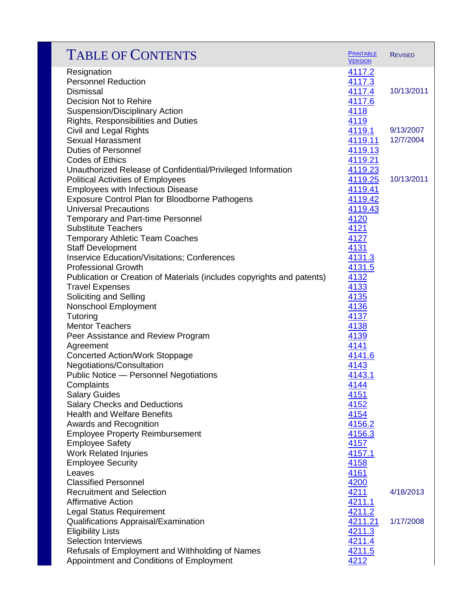| <b>TABLE OF CONTENTS</b>                                                              | <b>PRINTABLE</b><br><b>VERSION</b> | <b>REVISED</b> |
|---------------------------------------------------------------------------------------|------------------------------------|----------------|
| Resignation                                                                           | 4117.2                             |                |
| <b>Personnel Reduction</b>                                                            | 4117.3                             |                |
| <b>Dismissal</b>                                                                      | 4117.4                             | 10/13/2011     |
| <b>Decision Not to Rehire</b>                                                         | 4117.6                             |                |
| <b>Suspension/Disciplinary Action</b>                                                 | 4118                               |                |
| Rights, Responsibilities and Duties                                                   | 4119                               |                |
| Civil and Legal Rights                                                                | 4119.1                             | 9/13/2007      |
| <b>Sexual Harassment</b>                                                              | 4119.11                            | 12/7/2004      |
| <b>Duties of Personnel</b>                                                            | 4119.13                            |                |
| <b>Codes of Ethics</b>                                                                | 4119.21                            |                |
| Unauthorized Release of Confidential/Privileged Information                           | 4119.23                            |                |
| <b>Political Activities of Employees</b>                                              | 4119.25                            | 10/13/2011     |
| <b>Employees with Infectious Disease</b>                                              | 4119.41                            |                |
| <b>Exposure Control Plan for Bloodborne Pathogens</b><br><b>Universal Precautions</b> | 4119.42                            |                |
|                                                                                       | 4119.43                            |                |
| <b>Temporary and Part-time Personnel</b><br><b>Substitute Teachers</b>                | 4120<br>4121                       |                |
| <b>Temporary Athletic Team Coaches</b>                                                | 4127                               |                |
| <b>Staff Development</b>                                                              | 4131                               |                |
| <b>Inservice Education/Visitations; Conferences</b>                                   | 4131.3                             |                |
| <b>Professional Growth</b>                                                            | 4131.5                             |                |
| Publication or Creation of Materials (includes copyrights and patents)                | 4132                               |                |
| <b>Travel Expenses</b>                                                                | 4133                               |                |
| Soliciting and Selling                                                                | 4135                               |                |
| Nonschool Employment                                                                  | 4136                               |                |
| Tutoring                                                                              | 4137                               |                |
| <b>Mentor Teachers</b>                                                                | 4138                               |                |
| Peer Assistance and Review Program                                                    | 4139                               |                |
| Agreement                                                                             | 4141                               |                |
| <b>Concerted Action/Work Stoppage</b>                                                 | 4141.6                             |                |
| Negotiations/Consultation                                                             | 4143                               |                |
| <b>Public Notice - Personnel Negotiations</b>                                         | 4143.1                             |                |
| Complaints                                                                            | 4144                               |                |
| <b>Salary Guides</b>                                                                  | 4151                               |                |
| <b>Salary Checks and Deductions</b>                                                   | 4152                               |                |
| <b>Health and Welfare Benefits</b>                                                    | 4154                               |                |
| Awards and Recognition                                                                | 4156.2                             |                |
| <b>Employee Property Reimbursement</b>                                                | 4156.3                             |                |
| <b>Employee Safety</b>                                                                | 4157                               |                |
| <b>Work Related Injuries</b>                                                          | 4157.1                             |                |
| <b>Employee Security</b>                                                              | 4158                               |                |
| Leaves                                                                                | 4161                               |                |
| <b>Classified Personnel</b>                                                           | 4200                               |                |
| <b>Recruitment and Selection</b>                                                      | 4211                               | 4/18/2013      |
| <b>Affirmative Action</b>                                                             | 4211.1                             |                |
| <b>Legal Status Requirement</b>                                                       | 4211.2                             |                |
| Qualifications Appraisal/Examination                                                  | 4211.21                            | 1/17/2008      |
| <b>Eligibility Lists</b>                                                              | 4211.3                             |                |
| <b>Selection Interviews</b>                                                           | 4211.4                             |                |
| Refusals of Employment and Withholding of Names                                       | 4211.5                             |                |
| Appointment and Conditions of Employment                                              | 4212                               |                |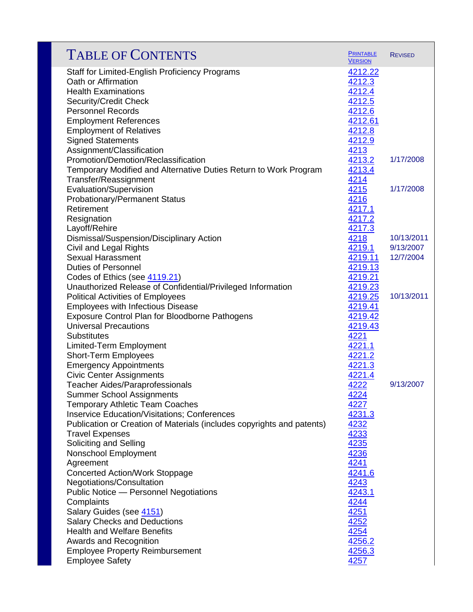| <b>TABLE OF CONTENTS</b>                                               | <b>PRINTABLE</b><br><b>VERSION</b> | <b>REVISED</b> |
|------------------------------------------------------------------------|------------------------------------|----------------|
| Staff for Limited-English Proficiency Programs                         | 4212.22                            |                |
| Oath or Affirmation                                                    | 4212.3                             |                |
| <b>Health Examinations</b>                                             | 4212.4                             |                |
| Security/Credit Check                                                  | 4212.5                             |                |
| <b>Personnel Records</b>                                               | 4212.6                             |                |
| <b>Employment References</b>                                           | 4212.61                            |                |
| <b>Employment of Relatives</b>                                         | 4212.8                             |                |
| <b>Signed Statements</b>                                               | 4212.9                             |                |
| Assignment/Classification                                              | 4213                               |                |
| Promotion/Demotion/Reclassification                                    | 4213.2                             | 1/17/2008      |
| Temporary Modified and Alternative Duties Return to Work Program       | 4213.4                             |                |
| Transfer/Reassignment                                                  | 4214                               |                |
| Evaluation/Supervision                                                 | 4215                               | 1/17/2008      |
| <b>Probationary/Permanent Status</b>                                   | 4216                               |                |
| Retirement                                                             | 4217.1                             |                |
| Resignation                                                            | 4217.2                             |                |
| Layoff/Rehire                                                          | 4217.3                             |                |
| Dismissal/Suspension/Disciplinary Action                               | 4218                               | 10/13/2011     |
| Civil and Legal Rights                                                 | 4219.1                             | 9/13/2007      |
| <b>Sexual Harassment</b>                                               | 4219.11                            | 12/7/2004      |
| <b>Duties of Personnel</b>                                             | 4219.13                            |                |
| Codes of Ethics (see 4119.21)                                          | 4219.21                            |                |
| Unauthorized Release of Confidential/Privileged Information            | 4219.23                            |                |
| <b>Political Activities of Employees</b>                               | 4219.25                            | 10/13/2011     |
| <b>Employees with Infectious Disease</b>                               | 4219.41                            |                |
| <b>Exposure Control Plan for Bloodborne Pathogens</b>                  | 4219.42                            |                |
| <b>Universal Precautions</b>                                           | 4219.43                            |                |
| <b>Substitutes</b>                                                     | 4221                               |                |
| Limited-Term Employment                                                | 4221.1                             |                |
| <b>Short-Term Employees</b>                                            | 4221.2                             |                |
| <b>Emergency Appointments</b>                                          | 4221.3                             |                |
| <b>Civic Center Assignments</b>                                        | 4221.4                             |                |
| <b>Teacher Aides/Paraprofessionals</b>                                 | 4222                               | 9/13/2007      |
| <b>Summer School Assignments</b>                                       | 4224                               |                |
| <b>Temporary Athletic Team Coaches</b>                                 | 4227                               |                |
| <b>Inservice Education/Visitations; Conferences</b>                    | 4231.3                             |                |
| Publication or Creation of Materials (includes copyrights and patents) | 4232                               |                |
| <b>Travel Expenses</b>                                                 | 4233                               |                |
| Soliciting and Selling                                                 | <u>4235</u>                        |                |
| Nonschool Employment                                                   | 4236                               |                |
| Agreement                                                              | 4241                               |                |
| <b>Concerted Action/Work Stoppage</b>                                  | 4241.6                             |                |
| Negotiations/Consultation                                              | 4243                               |                |
| Public Notice - Personnel Negotiations                                 | 4243.1                             |                |
| Complaints                                                             | 4244                               |                |
| Salary Guides (see 4151)                                               | 4251                               |                |
| <b>Salary Checks and Deductions</b>                                    | 4252                               |                |
| <b>Health and Welfare Benefits</b>                                     | 4254                               |                |
| <b>Awards and Recognition</b>                                          | 4256.2                             |                |
| <b>Employee Property Reimbursement</b>                                 | 4256.3                             |                |
| <b>Employee Safety</b>                                                 | 4257                               |                |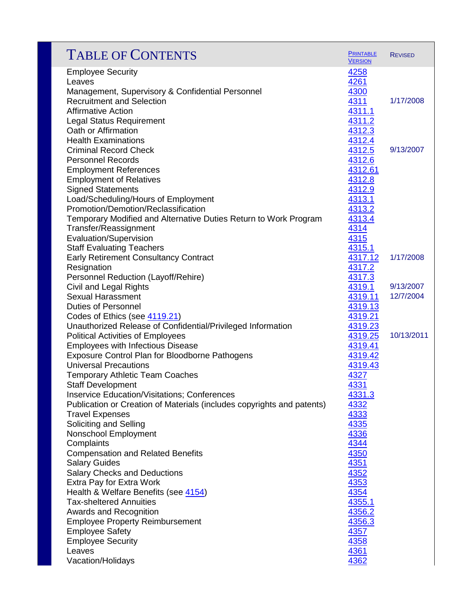| <b>TABLE OF CONTENTS</b>                                               | <b>PRINTABLE</b><br><b>VERSION</b> | <b>REVISED</b> |
|------------------------------------------------------------------------|------------------------------------|----------------|
| <b>Employee Security</b>                                               | 4258                               |                |
| Leaves                                                                 | 4261                               |                |
| Management, Supervisory & Confidential Personnel                       | 4300                               |                |
| <b>Recruitment and Selection</b>                                       | 4311                               | 1/17/2008      |
| <b>Affirmative Action</b>                                              | 4311.1                             |                |
| <b>Legal Status Requirement</b>                                        | 4311.2                             |                |
| Oath or Affirmation                                                    | 4312.3                             |                |
| <b>Health Examinations</b>                                             | 4312.4                             |                |
| <b>Criminal Record Check</b>                                           | 4312.5                             | 9/13/2007      |
| <b>Personnel Records</b>                                               | 4312.6                             |                |
| <b>Employment References</b>                                           | 4312.61                            |                |
| <b>Employment of Relatives</b>                                         | 4312.8                             |                |
| <b>Signed Statements</b>                                               | 4312.9                             |                |
| Load/Scheduling/Hours of Employment                                    | 4313.1                             |                |
| Promotion/Demotion/Reclassification                                    | 4313.2                             |                |
| Temporary Modified and Alternative Duties Return to Work Program       | 4313.4                             |                |
| Transfer/Reassignment                                                  | 4314                               |                |
| Evaluation/Supervision                                                 | 4315                               |                |
| <b>Staff Evaluating Teachers</b>                                       | 4315.1                             |                |
| <b>Early Retirement Consultancy Contract</b>                           | 4317.12                            | 1/17/2008      |
| Resignation                                                            | 4317.2                             |                |
| Personnel Reduction (Layoff/Rehire)                                    | 4317.3                             |                |
| Civil and Legal Rights                                                 | 4319.1                             | 9/13/2007      |
| <b>Sexual Harassment</b>                                               | 4319.11                            | 12/7/2004      |
| <b>Duties of Personnel</b>                                             | 4319.13                            |                |
| Codes of Ethics (see 4119.21)                                          | 4319.21                            |                |
| Unauthorized Release of Confidential/Privileged Information            | 4319.23                            |                |
| <b>Political Activities of Employees</b>                               | 4319.25                            | 10/13/2011     |
| <b>Employees with Infectious Disease</b>                               | 4319.41                            |                |
| Exposure Control Plan for Bloodborne Pathogens                         | 4319.42                            |                |
| <b>Universal Precautions</b>                                           | 4319.43                            |                |
| <b>Temporary Athletic Team Coaches</b>                                 | 4327                               |                |
| <b>Staff Development</b>                                               | 4331                               |                |
| Inservice Education/Visitations; Conferences                           | <u>4331.3</u>                      |                |
| Publication or Creation of Materials (includes copyrights and patents) | 4332                               |                |
| <b>Travel Expenses</b>                                                 | 4333                               |                |
| Soliciting and Selling                                                 | 4335                               |                |
| Nonschool Employment                                                   | 4336                               |                |
| Complaints                                                             | 4344                               |                |
| <b>Compensation and Related Benefits</b>                               | 4350                               |                |
| <b>Salary Guides</b>                                                   | 4351                               |                |
| <b>Salary Checks and Deductions</b>                                    | 4352                               |                |
| Extra Pay for Extra Work                                               | 4353                               |                |
| Health & Welfare Benefits (see 4154)                                   | 4354                               |                |
| <b>Tax-sheltered Annuities</b>                                         | 4355.1                             |                |
| Awards and Recognition                                                 | 4356.2                             |                |
| <b>Employee Property Reimbursement</b>                                 | 4356.3                             |                |
| <b>Employee Safety</b>                                                 | 4357                               |                |
| <b>Employee Security</b>                                               | 4358                               |                |
| Leaves                                                                 | 4361                               |                |
| Vacation/Holidays                                                      | 4362                               |                |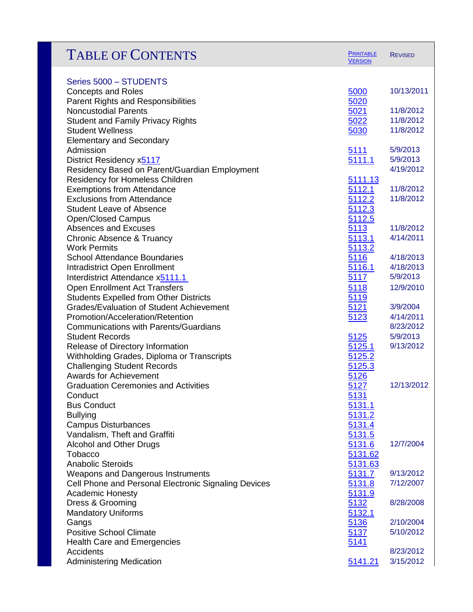| <b>TABLE OF CONTENTS</b>                                               | <b>PRINTABLE</b><br><b>VERSION</b> | <b>REVISED</b>         |
|------------------------------------------------------------------------|------------------------------------|------------------------|
| Series 5000 - STUDENTS                                                 |                                    |                        |
| <b>Concepts and Roles</b>                                              | 5000                               | 10/13/2011             |
| <b>Parent Rights and Responsibilities</b>                              | 5020                               |                        |
| <b>Noncustodial Parents</b>                                            | 5021                               | 11/8/2012              |
| <b>Student and Family Privacy Rights</b>                               | 5022                               | 11/8/2012              |
| <b>Student Wellness</b>                                                | 5030                               | 11/8/2012              |
| <b>Elementary and Secondary</b>                                        |                                    |                        |
| Admission                                                              | <b>5111</b>                        | 5/9/2013               |
| District Residency x5117                                               | 5111.1                             | 5/9/2013               |
| Residency Based on Parent/Guardian Employment                          |                                    | 4/19/2012              |
| <b>Residency for Homeless Children</b>                                 | 5111.13                            |                        |
| <b>Exemptions from Attendance</b><br><b>Exclusions from Attendance</b> | 5112.1                             | 11/8/2012<br>11/8/2012 |
| <b>Student Leave of Absence</b>                                        | 5112.2<br>5112.3                   |                        |
| <b>Open/Closed Campus</b>                                              | 5112.5                             |                        |
| Absences and Excuses                                                   | 5113                               | 11/8/2012              |
| <b>Chronic Absence &amp; Truancy</b>                                   | 5113.1                             | 4/14/2011              |
| <b>Work Permits</b>                                                    | 5113.2                             |                        |
| <b>School Attendance Boundaries</b>                                    | 5116                               | 4/18/2013              |
| <b>Intradistrict Open Enrollment</b>                                   | 5116.1                             | 4/18/2013              |
| Interdistrict Attendance x5111.1                                       | 5117                               | 5/9/2013               |
| <b>Open Enrollment Act Transfers</b>                                   | 5118                               | 12/9/2010              |
| <b>Students Expelled from Other Districts</b>                          | 5119                               |                        |
| <b>Grades/Evaluation of Student Achievement</b>                        | 5121                               | 3/9/2004               |
| Promotion/Acceleration/Retention                                       | 5123                               | 4/14/2011              |
| <b>Communications with Parents/Guardians</b>                           |                                    | 8/23/2012              |
| <b>Student Records</b>                                                 | 5125                               | 5/9/2013               |
| Release of Directory Information                                       | 5125.1                             | 9/13/2012              |
| Withholding Grades, Diploma or Transcripts                             | 5125.2                             |                        |
| <b>Challenging Student Records</b><br><b>Awards for Achievement</b>    | 5125.3<br>5126                     |                        |
| <b>Graduation Ceremonies and Activities</b>                            | 5127                               | 12/13/2012             |
| Conduct                                                                | 5131                               |                        |
| <b>Bus Conduct</b>                                                     | 5131.1                             |                        |
| <b>Bullying</b>                                                        | 5131.2                             |                        |
| <b>Campus Disturbances</b>                                             | 5131.4                             |                        |
| Vandalism, Theft and Graffiti                                          | 5131.5                             |                        |
| <b>Alcohol and Other Drugs</b>                                         | 5131.6                             | 12/7/2004              |
| Tobacco                                                                | 5131.62                            |                        |
| <b>Anabolic Steroids</b>                                               | 5131.63                            |                        |
| Weapons and Dangerous Instruments                                      | 5131.7                             | 9/13/2012              |
| Cell Phone and Personal Electronic Signaling Devices                   | 5131.8                             | 7/12/2007              |
| <b>Academic Honesty</b>                                                | 5131.9                             |                        |
| Dress & Grooming                                                       | 5132                               | 8/28/2008              |
| <b>Mandatory Uniforms</b><br>Gangs                                     | 5132.1<br>5136                     | 2/10/2004              |
| <b>Positive School Climate</b>                                         | 5137                               | 5/10/2012              |
| <b>Health Care and Emergencies</b>                                     | 5141                               |                        |
| Accidents                                                              |                                    | 8/23/2012              |
| <b>Administering Medication</b>                                        | 5141.21                            | 3/15/2012              |
|                                                                        |                                    |                        |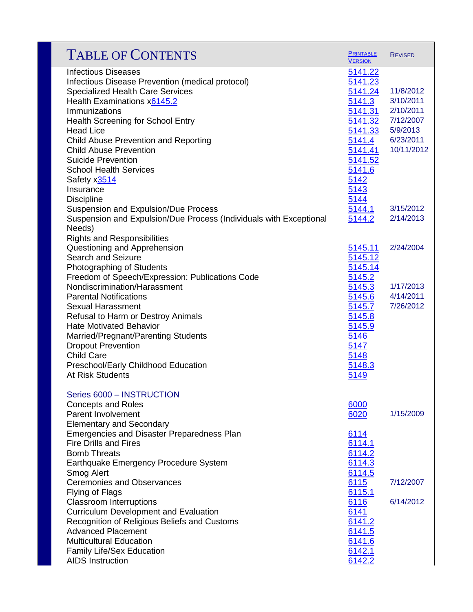| <b>TABLE OF CONTENTS</b>                                                                                                  | <b>PRINTABLE</b><br><b>VERSION</b> | <b>REVISED</b>         |
|---------------------------------------------------------------------------------------------------------------------------|------------------------------------|------------------------|
| <b>Infectious Diseases</b><br>Infectious Disease Prevention (medical protocol)<br><b>Specialized Health Care Services</b> | 5141.22<br>5141.23<br>5141.24      | 11/8/2012<br>3/10/2011 |
| Health Examinations x6145.2<br>Immunizations                                                                              | 5141.3<br>5141.31                  | 2/10/2011              |
| <b>Health Screening for School Entry</b>                                                                                  | 5141.32                            | 7/12/2007              |
| <b>Head Lice</b>                                                                                                          | 5141.33                            | 5/9/2013               |
| <b>Child Abuse Prevention and Reporting</b>                                                                               | 5141.4                             | 6/23/2011              |
| <b>Child Abuse Prevention</b>                                                                                             | 5141.41                            | 10/11/2012             |
| <b>Suicide Prevention</b>                                                                                                 | 5141.52                            |                        |
| <b>School Health Services</b>                                                                                             | 5141.6                             |                        |
| Safety x3514                                                                                                              | 5142                               |                        |
| Insurance                                                                                                                 | 5143                               |                        |
| <b>Discipline</b>                                                                                                         | 5144                               |                        |
| Suspension and Expulsion/Due Process                                                                                      | 5144.1                             | 3/15/2012              |
| Suspension and Expulsion/Due Process (Individuals with Exceptional                                                        | 5144.2                             | 2/14/2013              |
| Needs)                                                                                                                    |                                    |                        |
| <b>Rights and Responsibilities</b>                                                                                        |                                    |                        |
| Questioning and Apprehension                                                                                              | 5145.11                            | 2/24/2004              |
| <b>Search and Seizure</b>                                                                                                 | 5145.12                            |                        |
| Photographing of Students                                                                                                 | 5145.14                            |                        |
| Freedom of Speech/Expression: Publications Code<br>Nondiscrimination/Harassment                                           | 5145.2                             | 1/17/2013              |
| <b>Parental Notifications</b>                                                                                             | 5145.3<br><u>5145.6</u>            | 4/14/2011              |
| <b>Sexual Harassment</b>                                                                                                  | 5145.7                             | 7/26/2012              |
| Refusal to Harm or Destroy Animals                                                                                        | 5145.8                             |                        |
| <b>Hate Motivated Behavior</b>                                                                                            | 5145.9                             |                        |
| Married/Pregnant/Parenting Students                                                                                       | 5146                               |                        |
| <b>Dropout Prevention</b>                                                                                                 | 5147                               |                        |
| <b>Child Care</b>                                                                                                         | 5148                               |                        |
| Preschool/Early Childhood Education                                                                                       | 5148.3                             |                        |
| At Risk Students                                                                                                          | 5149                               |                        |
|                                                                                                                           |                                    |                        |
| Series 6000 - INSTRUCTION                                                                                                 |                                    |                        |
| <b>Concepts and Roles</b><br><b>Parent Involvement</b>                                                                    | 6000<br>6020                       | 1/15/2009              |
| <b>Elementary and Secondary</b>                                                                                           |                                    |                        |
| Emergencies and Disaster Preparedness Plan                                                                                | 6114                               |                        |
| <b>Fire Drills and Fires</b>                                                                                              | 6114.1                             |                        |
| <b>Bomb Threats</b>                                                                                                       | 6114.2                             |                        |
| Earthquake Emergency Procedure System                                                                                     | 6114.3                             |                        |
| Smog Alert                                                                                                                | 6114.5                             |                        |
| <b>Ceremonies and Observances</b>                                                                                         | 6115                               | 7/12/2007              |
| Flying of Flags                                                                                                           | 6115.1                             |                        |
| <b>Classroom Interruptions</b>                                                                                            | 6116                               | 6/14/2012              |
| <b>Curriculum Development and Evaluation</b>                                                                              | 6141                               |                        |
| Recognition of Religious Beliefs and Customs                                                                              | 6141.2                             |                        |
| <b>Advanced Placement</b>                                                                                                 | 6141.5                             |                        |
| <b>Multicultural Education</b>                                                                                            | 6141.6                             |                        |
| <b>Family Life/Sex Education</b>                                                                                          | 6142.1                             |                        |
| <b>AIDS Instruction</b>                                                                                                   | 6142.2                             |                        |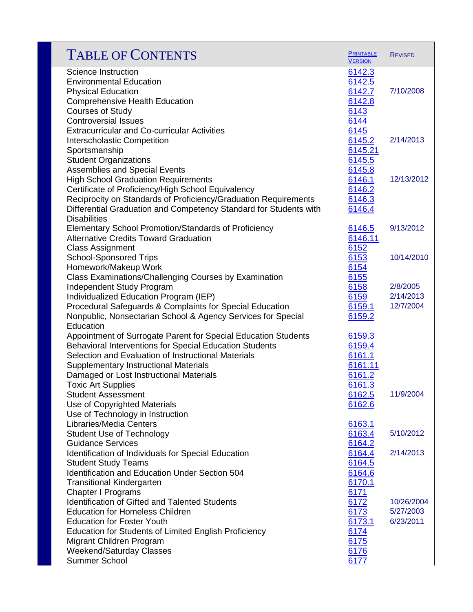| <b>PRINTABLE</b><br><b>VERSION</b>                               | <b>REVISED</b>                                             |
|------------------------------------------------------------------|------------------------------------------------------------|
| 6142.3<br>6142.5<br>6142.7<br>6142.8<br>6143                     | 7/10/2008                                                  |
| 6145<br>6145.2<br>6145.21                                        | 2/14/2013                                                  |
| 6145.8<br>6146.1<br>6146.2<br>6146.3<br>6146.4                   | 12/13/2012                                                 |
| 6146.5<br>6146.11                                                | 9/13/2012                                                  |
| 6153<br>6154                                                     | 10/14/2010                                                 |
| 6158<br>6159<br>6159.1<br>6159.2                                 | 2/8/2005<br>2/14/2013<br>12/7/2004                         |
| 6159.3<br>6159.4<br>6161.1<br>6161.11<br>6161.2                  |                                                            |
| 6161.3<br>6162.5<br>6162.6                                       | 11/9/2004                                                  |
| 6163.1<br>6163.4                                                 | 5/10/2012                                                  |
| 6164.4<br>6164.5                                                 | 2/14/2013                                                  |
| 6170.1<br>6171<br>6172<br>6173<br>6173.1<br>6174<br>6175<br>6176 | 10/26/2004<br>5/27/2003<br>6/23/2011                       |
|                                                                  | 6144<br>6145.5<br>6152<br>6155<br>6164.2<br>6164.6<br>6177 |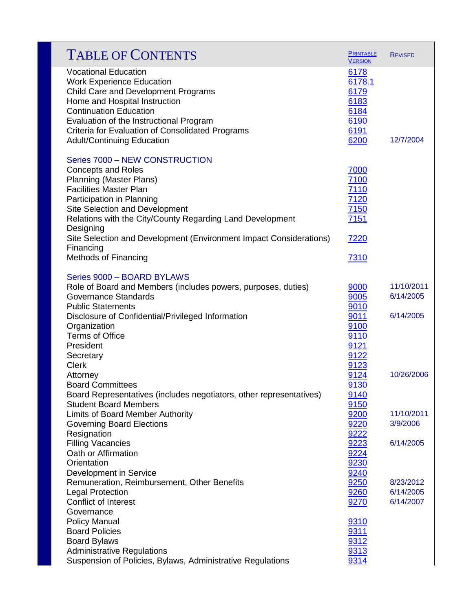| <b>TABLE OF CONTENTS</b>                                                                                                                                                                                                                                                                                                                      | <b>PRINTABLE</b><br><b>VERSION</b>                             | <b>REVISED</b>                      |
|-----------------------------------------------------------------------------------------------------------------------------------------------------------------------------------------------------------------------------------------------------------------------------------------------------------------------------------------------|----------------------------------------------------------------|-------------------------------------|
| <b>Vocational Education</b><br><b>Work Experience Education</b><br>Child Care and Development Programs<br>Home and Hospital Instruction<br><b>Continuation Education</b><br>Evaluation of the Instructional Program<br>Criteria for Evaluation of Consolidated Programs<br><b>Adult/Continuing Education</b>                                  | 6178<br>6178.1<br>6179<br>6183<br>6184<br>6190<br>6191<br>6200 | 12/7/2004                           |
| Series 7000 - NEW CONSTRUCTION<br><b>Concepts and Roles</b><br><b>Planning (Master Plans)</b><br><b>Facilities Master Plan</b><br>Participation in Planning<br>Site Selection and Development<br>Relations with the City/County Regarding Land Development<br>Designing<br>Site Selection and Development (Environment Impact Considerations) | 7000<br>7100<br>7110<br>7120<br>7150<br>7151<br>7220           |                                     |
| Financing<br><b>Methods of Financing</b>                                                                                                                                                                                                                                                                                                      | 7310                                                           |                                     |
| Series 9000 - BOARD BYLAWS                                                                                                                                                                                                                                                                                                                    |                                                                |                                     |
| Role of Board and Members (includes powers, purposes, duties)<br><b>Governance Standards</b><br><b>Public Statements</b>                                                                                                                                                                                                                      | 9000<br>9005<br>9010                                           | 11/10/2011<br>6/14/2005             |
| Disclosure of Confidential/Privileged Information<br>Organization<br><b>Terms of Office</b><br>President<br>Secretary<br><b>Clerk</b>                                                                                                                                                                                                         | 9011<br>9100<br>9110<br>9121<br>9122<br>9123                   | 6/14/2005                           |
| Attorney<br><b>Board Committees</b><br>Board Representatives (includes negotiators, other representatives)<br><b>Student Board Members</b>                                                                                                                                                                                                    | 9124<br>9130<br>9140<br>9150                                   | 10/26/2006                          |
| Limits of Board Member Authority<br><b>Governing Board Elections</b><br>Resignation                                                                                                                                                                                                                                                           | 9200<br>9220<br>9222                                           | 11/10/2011<br>3/9/2006              |
| <b>Filling Vacancies</b><br>Oath or Affirmation<br>Orientation<br>Development in Service                                                                                                                                                                                                                                                      | 9223<br>9224<br>9230<br>9240                                   | 6/14/2005                           |
| Remuneration, Reimbursement, Other Benefits<br><b>Legal Protection</b><br><b>Conflict of Interest</b><br>Governance                                                                                                                                                                                                                           | 9250<br>9260<br>9270                                           | 8/23/2012<br>6/14/2005<br>6/14/2007 |
| <b>Policy Manual</b><br><b>Board Policies</b><br><b>Board Bylaws</b><br><b>Administrative Regulations</b><br>Suspension of Policies, Bylaws, Administrative Regulations                                                                                                                                                                       | 9310<br>9311<br>9312<br>9313<br>9314                           |                                     |